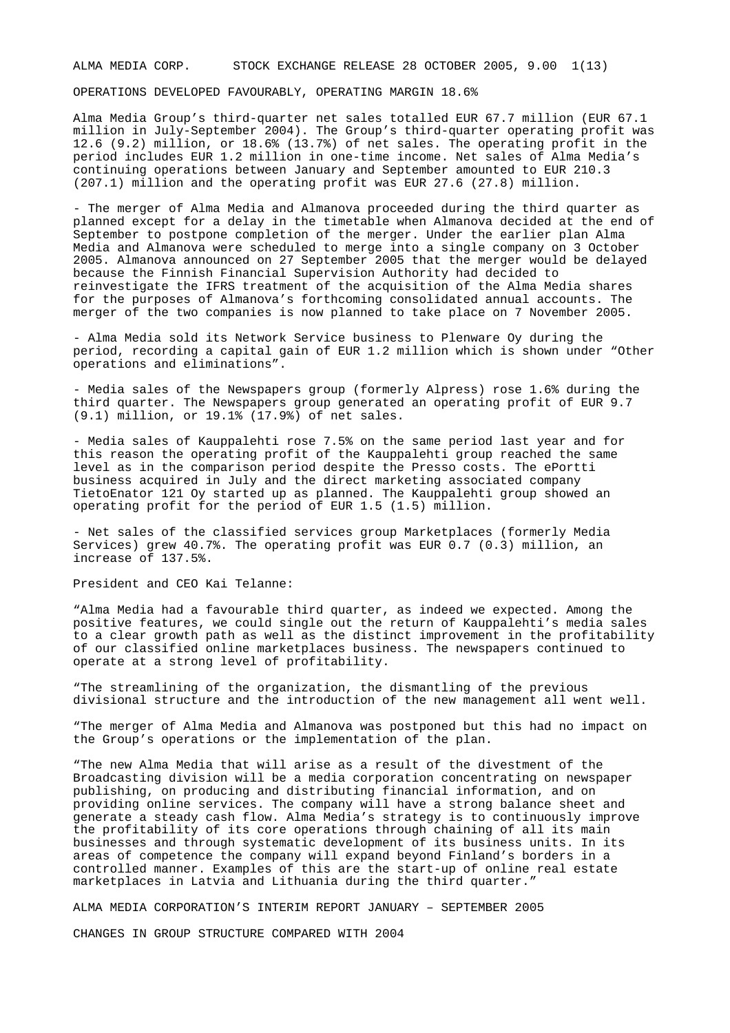ALMA MEDIA CORP. STOCK EXCHANGE RELEASE 28 OCTOBER 2005, 9.00 1(13)

OPERATIONS DEVELOPED FAVOURABLY, OPERATING MARGIN 18.6%

Alma Media Group's third-quarter net sales totalled EUR 67.7 million (EUR 67.1 million in July-September 2004). The Group's third-quarter operating profit was 12.6 (9.2) million, or 18.6% (13.7%) of net sales. The operating profit in the period includes EUR 1.2 million in one-time income. Net sales of Alma Media's continuing operations between January and September amounted to EUR 210.3 (207.1) million and the operating profit was EUR 27.6 (27.8) million.

- The merger of Alma Media and Almanova proceeded during the third quarter as planned except for a delay in the timetable when Almanova decided at the end of September to postpone completion of the merger. Under the earlier plan Alma Media and Almanova were scheduled to merge into a single company on 3 October 2005. Almanova announced on 27 September 2005 that the merger would be delayed because the Finnish Financial Supervision Authority had decided to reinvestigate the IFRS treatment of the acquisition of the Alma Media shares for the purposes of Almanova's forthcoming consolidated annual accounts. The merger of the two companies is now planned to take place on 7 November 2005.

- Alma Media sold its Network Service business to Plenware Oy during the period, recording a capital gain of EUR 1.2 million which is shown under "Other operations and eliminations".

- Media sales of the Newspapers group (formerly Alpress) rose 1.6% during the third quarter. The Newspapers group generated an operating profit of EUR 9.7 (9.1) million, or 19.1% (17.9%) of net sales.

- Media sales of Kauppalehti rose 7.5% on the same period last year and for this reason the operating profit of the Kauppalehti group reached the same level as in the comparison period despite the Presso costs. The ePortti business acquired in July and the direct marketing associated company TietoEnator 121 Oy started up as planned. The Kauppalehti group showed an operating profit for the period of EUR 1.5 (1.5) million.

- Net sales of the classified services group Marketplaces (formerly Media Services) grew 40.7%. The operating profit was EUR 0.7 (0.3) million, an increase of 137.5%.

President and CEO Kai Telanne:

"Alma Media had a favourable third quarter, as indeed we expected. Among the positive features, we could single out the return of Kauppalehti's media sales to a clear growth path as well as the distinct improvement in the profitability of our classified online marketplaces business. The newspapers continued to operate at a strong level of profitability.

"The streamlining of the organization, the dismantling of the previous divisional structure and the introduction of the new management all went well.

"The merger of Alma Media and Almanova was postponed but this had no impact on the Group's operations or the implementation of the plan.

"The new Alma Media that will arise as a result of the divestment of the Broadcasting division will be a media corporation concentrating on newspaper publishing, on producing and distributing financial information, and on providing online services. The company will have a strong balance sheet and generate a steady cash flow. Alma Media's strategy is to continuously improve the profitability of its core operations through chaining of all its main businesses and through systematic development of its business units. In its areas of competence the company will expand beyond Finland's borders in a controlled manner. Examples of this are the start-up of online real estate marketplaces in Latvia and Lithuania during the third quarter."

ALMA MEDIA CORPORATION'S INTERIM REPORT JANUARY – SEPTEMBER 2005

CHANGES IN GROUP STRUCTURE COMPARED WITH 2004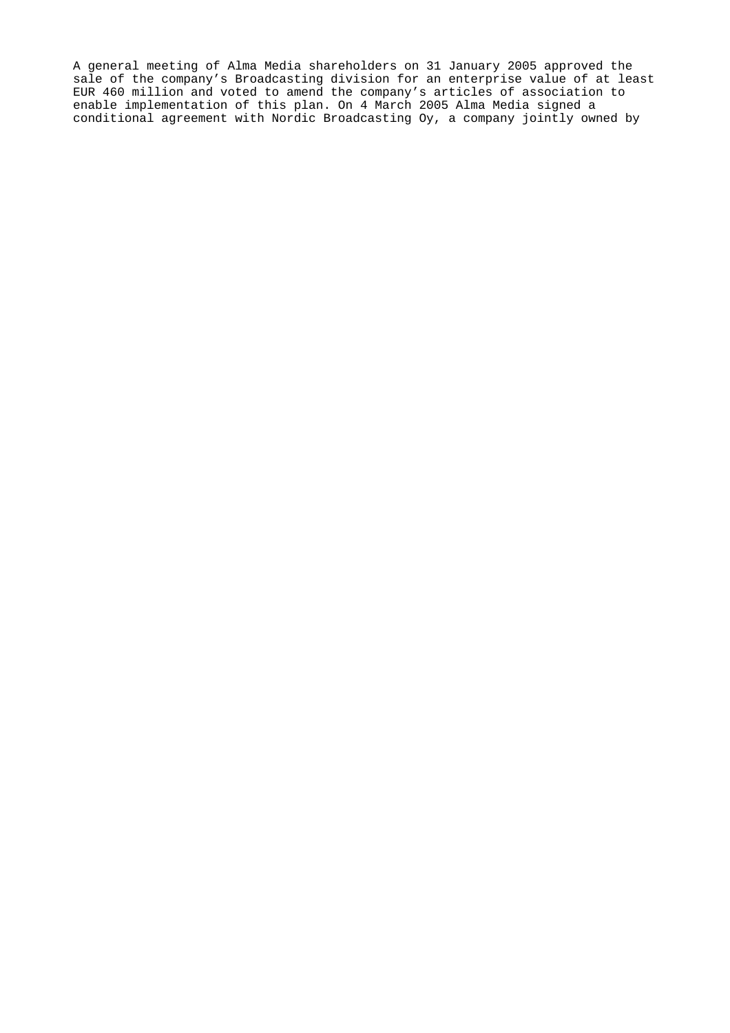A general meeting of Alma Media shareholders on 31 January 2005 approved the sale of the company's Broadcasting division for an enterprise value of at least EUR 460 million and voted to amend the company's articles of association to enable implementation of this plan. On 4 March 2005 Alma Media signed a conditional agreement with Nordic Broadcasting Oy, a company jointly owned by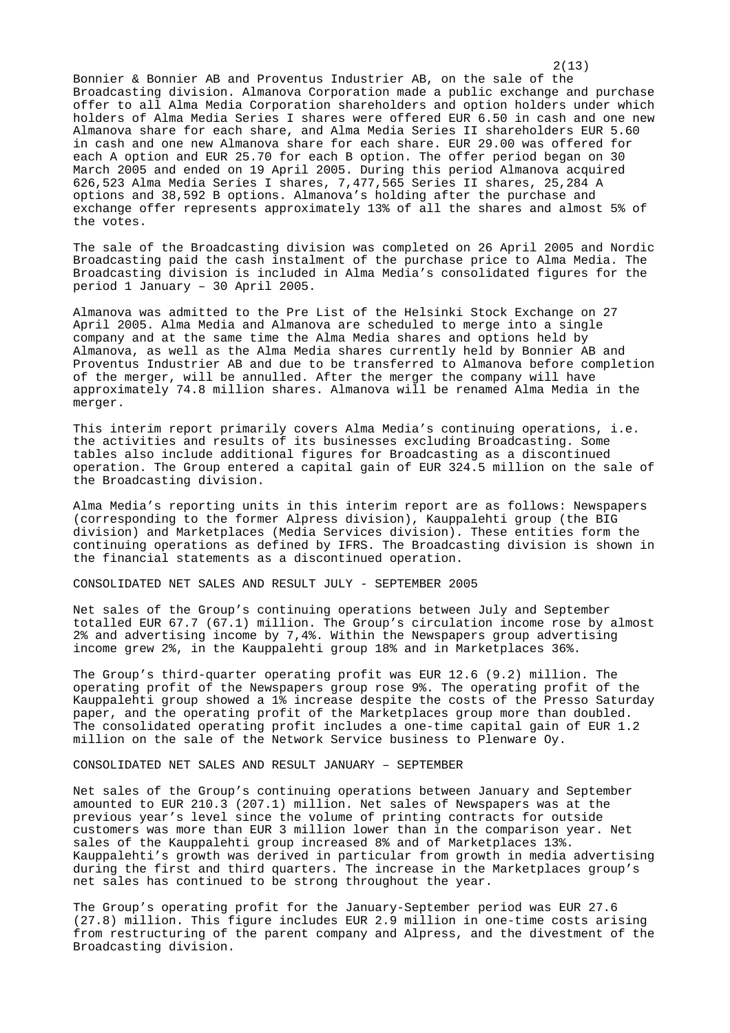Bonnier & Bonnier AB and Proventus Industrier AB, on the sale of the Broadcasting division. Almanova Corporation made a public exchange and purchase offer to all Alma Media Corporation shareholders and option holders under which holders of Alma Media Series I shares were offered EUR 6.50 in cash and one new Almanova share for each share, and Alma Media Series II shareholders EUR 5.60 in cash and one new Almanova share for each share. EUR 29.00 was offered for each A option and EUR 25.70 for each B option. The offer period began on 30 March 2005 and ended on 19 April 2005. During this period Almanova acquired 626,523 Alma Media Series I shares, 7,477,565 Series II shares, 25,284 A options and 38,592 B options. Almanova's holding after the purchase and exchange offer represents approximately 13% of all the shares and almost 5% of the votes.

The sale of the Broadcasting division was completed on 26 April 2005 and Nordic Broadcasting paid the cash instalment of the purchase price to Alma Media. The Broadcasting division is included in Alma Media's consolidated figures for the period 1 January – 30 April 2005.

Almanova was admitted to the Pre List of the Helsinki Stock Exchange on 27 April 2005. Alma Media and Almanova are scheduled to merge into a single company and at the same time the Alma Media shares and options held by Almanova, as well as the Alma Media shares currently held by Bonnier AB and Proventus Industrier AB and due to be transferred to Almanova before completion of the merger, will be annulled. After the merger the company will have approximately 74.8 million shares. Almanova will be renamed Alma Media in the merger.

This interim report primarily covers Alma Media's continuing operations, i.e. the activities and results of its businesses excluding Broadcasting. Some tables also include additional figures for Broadcasting as a discontinued operation. The Group entered a capital gain of EUR 324.5 million on the sale of the Broadcasting division.

Alma Media's reporting units in this interim report are as follows: Newspapers (corresponding to the former Alpress division), Kauppalehti group (the BIG division) and Marketplaces (Media Services division). These entities form the continuing operations as defined by IFRS. The Broadcasting division is shown in the financial statements as a discontinued operation.

CONSOLIDATED NET SALES AND RESULT JULY - SEPTEMBER 2005

Net sales of the Group's continuing operations between July and September totalled EUR 67.7 (67.1) million. The Group's circulation income rose by almost 2% and advertising income by 7,4%. Within the Newspapers group advertising income grew 2%, in the Kauppalehti group 18% and in Marketplaces 36%.

The Group's third-quarter operating profit was EUR 12.6 (9.2) million. The operating profit of the Newspapers group rose 9%. The operating profit of the Kauppalehti group showed a 1% increase despite the costs of the Presso Saturday paper, and the operating profit of the Marketplaces group more than doubled. The consolidated operating profit includes a one-time capital gain of EUR 1.2 million on the sale of the Network Service business to Plenware Oy.

### CONSOLIDATED NET SALES AND RESULT JANUARY – SEPTEMBER

Net sales of the Group's continuing operations between January and September amounted to EUR 210.3 (207.1) million. Net sales of Newspapers was at the previous year's level since the volume of printing contracts for outside customers was more than EUR 3 million lower than in the comparison year. Net sales of the Kauppalehti group increased 8% and of Marketplaces 13%. Kauppalehti's growth was derived in particular from growth in media advertising during the first and third quarters. The increase in the Marketplaces group's net sales has continued to be strong throughout the year.

The Group's operating profit for the January-September period was EUR 27.6 (27.8) million. This figure includes EUR 2.9 million in one-time costs arising from restructuring of the parent company and Alpress, and the divestment of the Broadcasting division.

 $2(13)$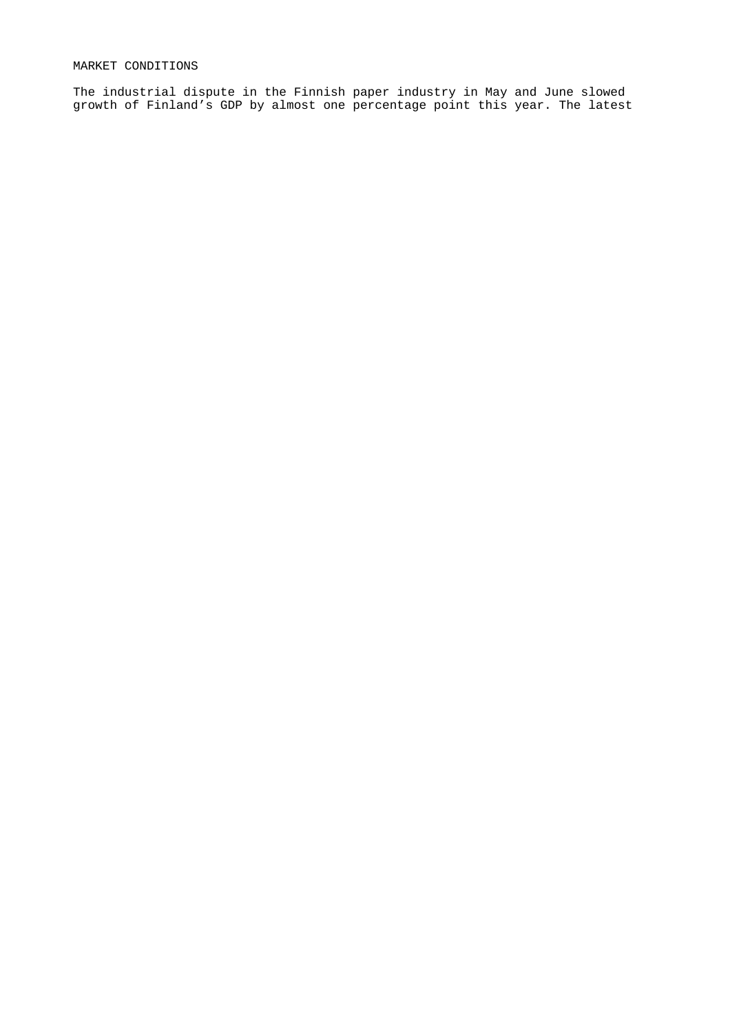# MARKET CONDITIONS

The industrial dispute in the Finnish paper industry in May and June slowed growth of Finland's GDP by almost one percentage point this year. The latest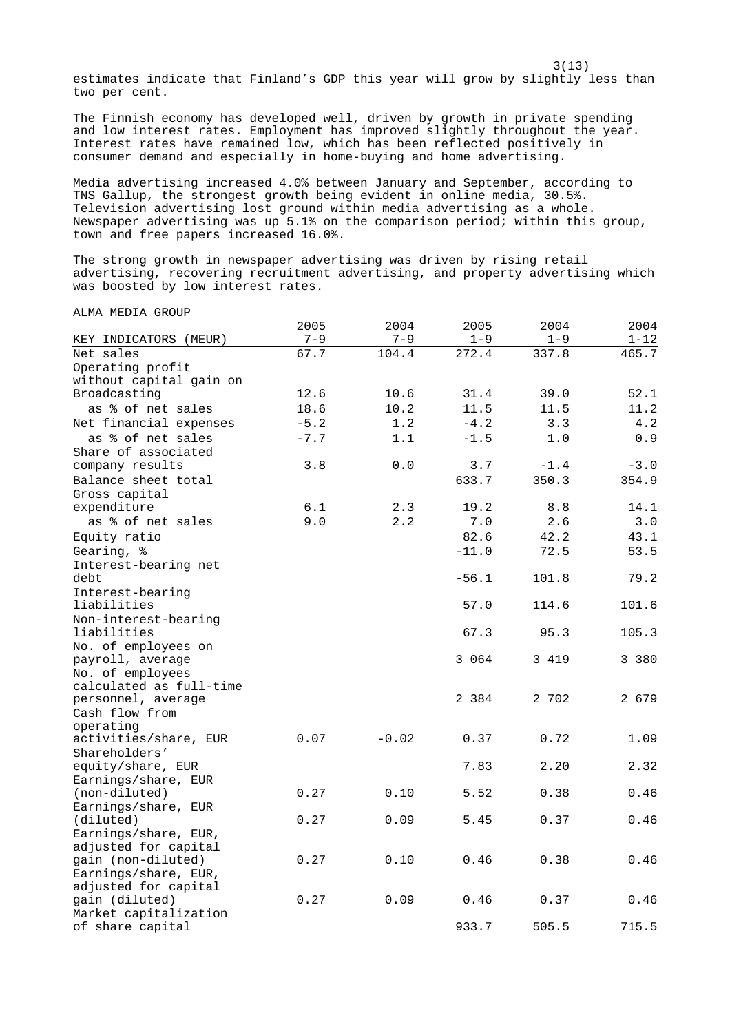3(13) estimates indicate that Finland's GDP this year will grow by slightly less than two per cent.

The Finnish economy has developed well, driven by growth in private spending and low interest rates. Employment has improved slightly throughout the year. Interest rates have remained low, which has been reflected positively in consumer demand and especially in home-buying and home advertising.

Media advertising increased 4.0% between January and September, according to TNS Gallup, the strongest growth being evident in online media, 30.5%. Television advertising lost ground within media advertising as a whole. Newspaper advertising was up 5.1% on the comparison period; within this group, town and free papers increased 16.0%.

The strong growth in newspaper advertising was driven by rising retail advertising, recovering recruitment advertising, and property advertising which was boosted by low interest rates.

ALMA MEDIA GROUP

|                                             | 2005    | 2004    | 2005    | 2004    | 2004     |
|---------------------------------------------|---------|---------|---------|---------|----------|
| KEY INDICATORS (MEUR)                       | $7 - 9$ | $7 - 9$ | $1 - 9$ | $1 - 9$ | $1 - 12$ |
| Net sales                                   | 67.7    | 104.4   | 272.4   | 337.8   | 465.7    |
| Operating profit                            |         |         |         |         |          |
| without capital gain on                     |         |         |         |         |          |
| Broadcasting                                | 12.6    | 10.6    | 31.4    | 39.0    | 52.1     |
| as % of net sales                           | 18.6    | 10.2    | 11.5    | 11.5    | 11.2     |
| Net financial expenses                      | $-5.2$  | 1.2     | $-4.2$  | 3.3     | 4.2      |
| as % of net sales                           | $-7.7$  | 1.1     | $-1.5$  | 1.0     | 0.9      |
| Share of associated                         |         |         |         |         |          |
| company results                             | 3.8     | 0.0     | 3.7     | $-1.4$  | $-3.0$   |
| Balance sheet total                         |         |         | 633.7   | 350.3   | 354.9    |
| Gross capital                               |         |         |         |         |          |
| expenditure                                 | 6.1     | 2.3     | 19.2    | 8.8     | 14.1     |
| as % of net sales                           | 9.0     | 2.2     | 7.0     | 2.6     | 3.0      |
| Equity ratio                                |         |         | 82.6    | 42.2    | 43.1     |
| Gearing, %                                  |         |         | $-11.0$ | 72.5    | 53.5     |
| Interest-bearing net                        |         |         |         |         |          |
| debt                                        |         |         | $-56.1$ | 101.8   | 79.2     |
| Interest-bearing                            |         |         |         |         |          |
| liabilities                                 |         |         | 57.0    | 114.6   | 101.6    |
| Non-interest-bearing                        |         |         |         |         |          |
| liabilities                                 |         |         | 67.3    | 95.3    | 105.3    |
| No. of employees on                         |         |         |         |         |          |
| payroll, average                            |         |         | 3 064   | 3 419   | 3 380    |
| No. of employees<br>calculated as full-time |         |         |         |         |          |
| personnel, average                          |         |         | 2 384   | 2 702   | 2 679    |
| Cash flow from                              |         |         |         |         |          |
| operating                                   |         |         |         |         |          |
| activities/share, EUR                       | 0.07    | $-0.02$ | 0.37    | 0.72    | 1.09     |
| Shareholders'                               |         |         |         |         |          |
| equity/share, EUR                           |         |         | 7.83    | 2.20    | 2.32     |
| Earnings/share, EUR                         |         |         |         |         |          |
| (non-diluted)                               | 0.27    | 0.10    | 5.52    | 0.38    | 0.46     |
| Earnings/share, EUR                         |         |         |         |         |          |
| (diluted)                                   | 0.27    | 0.09    | 5.45    | 0.37    | 0.46     |
| Earnings/share, EUR,                        |         |         |         |         |          |
| adjusted for capital                        |         |         |         |         |          |
| gain (non-diluted)                          | 0.27    | 0.10    | 0.46    | 0.38    | 0.46     |
| Earnings/share, EUR,                        |         |         |         |         |          |
| adjusted for capital<br>gain (diluted)      | 0.27    | 0.09    | 0.46    | 0.37    | 0.46     |
| Market capitalization                       |         |         |         |         |          |
| of share capital                            |         |         | 933.7   | 505.5   | 715.5    |
|                                             |         |         |         |         |          |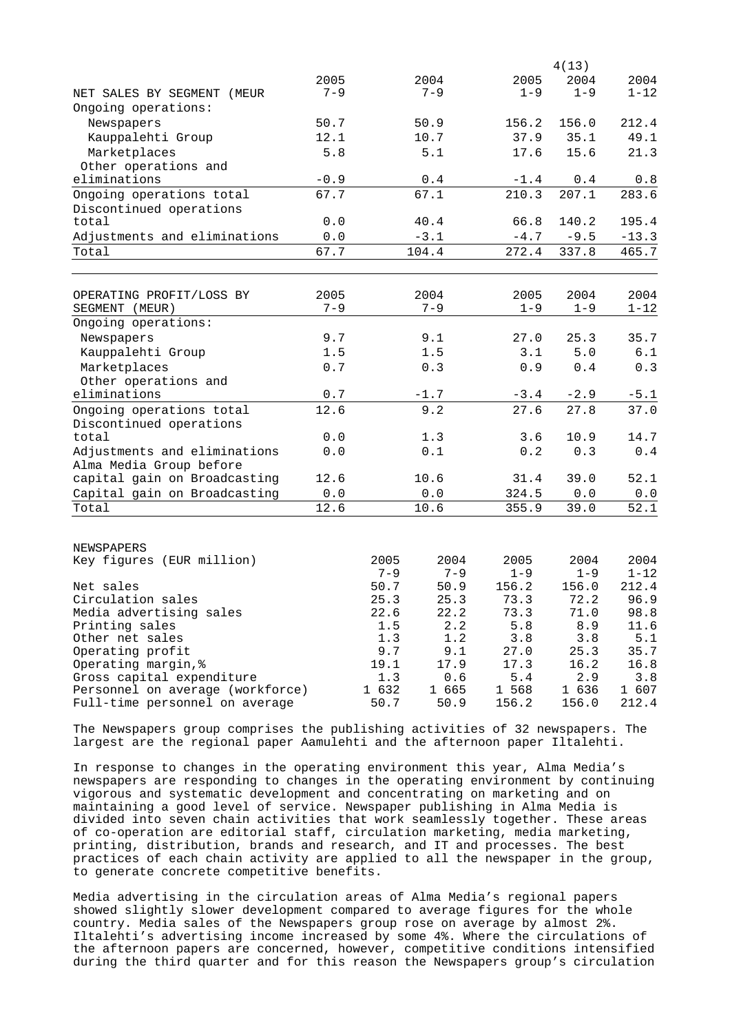|                               |         |         |         |         | 4(13)                                             |          |
|-------------------------------|---------|---------|---------|---------|---------------------------------------------------|----------|
|                               | 2005    |         | 2004    | 2005    | 2004                                              | 2004     |
| NET SALES BY SEGMENT<br>(MEUR | $7 - 9$ |         | $7 - 9$ | $1 - 9$ | $1 - 9$                                           | $1 - 12$ |
| Ongoing operations:           |         |         |         |         |                                                   |          |
| Newspapers                    | 50.7    |         | 50.9    | 156.2   | 156.0                                             | 212.4    |
| Kauppalehti Group             | 12.1    |         | 10.7    | 37.9    | 35.1                                              | 49.1     |
| Marketplaces                  | 5.8     |         | 5.1     | 17.6    | 15.6                                              | 21.3     |
| Other operations and          |         |         |         |         |                                                   |          |
| eliminations                  | $-0.9$  |         | 0.4     | $-1.4$  | $\ensuremath{\text{0}}$ . $\ensuremath{\text{4}}$ | 0.8      |
| Ongoing operations total      | 67.7    |         | 67.1    | 210.3   | 207.1                                             | 283.6    |
| Discontinued operations       |         |         |         |         |                                                   |          |
| total                         | 0.0     |         | 40.4    | 66.8    | 140.2                                             | 195.4    |
| Adjustments and eliminations  | 0.0     |         | $-3.1$  | $-4.7$  | $-9.5$                                            | $-13.3$  |
| Total                         | 67.7    |         | 104.4   | 272.4   | 337.8                                             | 465.7    |
|                               |         |         |         |         |                                                   |          |
| OPERATING PROFIT/LOSS BY      | 2005    |         | 2004    | 2005    | 2004                                              | 2004     |
| SEGMENT (MEUR)                | $7 - 9$ |         | $7 - 9$ | $1 - 9$ | $1 - 9$                                           | $1 - 12$ |
| Ongoing operations:           |         |         |         |         |                                                   |          |
| Newspapers                    | 9.7     |         | 9.1     | 27.0    | 25.3                                              | 35.7     |
| Kauppalehti Group             | 1.5     |         | 1.5     | 3.1     | 5.0                                               | 6.1      |
| Marketplaces                  | 0.7     |         | 0.3     | 0.9     | 0.4                                               | 0.3      |
| Other operations and          |         |         |         |         |                                                   |          |
| eliminations                  | $0.7$   |         | $-1.7$  | $-3.4$  | $-2.9$                                            | $-5.1$   |
| Ongoing operations total      | 12.6    |         | 9.2     | 27.6    | 27.8                                              | 37.0     |
| Discontinued operations       |         |         |         |         |                                                   |          |
| total                         | 0.0     |         | 1.3     | 3.6     | 10.9                                              | 14.7     |
| Adjustments and eliminations  | 0.0     |         | 0.1     | 0.2     | 0.3                                               | 0.4      |
| Alma Media Group before       |         |         |         |         |                                                   |          |
| capital gain on Broadcasting  | 12.6    |         | 10.6    | 31.4    | 39.0                                              | 52.1     |
| Capital gain on Broadcasting  | $0.0$   |         | 0.0     | 324.5   | $0.0$                                             | 0.0      |
| Total                         | 12.6    |         | 10.6    | 355.9   | 39.0                                              | 52.1     |
|                               |         |         |         |         |                                                   |          |
| <b>NEWSPAPERS</b>             |         |         |         |         |                                                   |          |
| Key figures (EUR million)     |         | 2005    | 2004    | 2005    | 2004                                              | 2004     |
|                               |         | $7 - 9$ | $7 - 9$ | $1 - 9$ | $1 - 9$                                           | $1 - 12$ |

| Net sales                        | 50.7  | 50.9  | 156.2 | 156.0 | 212.4 |
|----------------------------------|-------|-------|-------|-------|-------|
| Circulation sales                | 25.3  | 25.3  | 73.3  | 72.2  | 96.9  |
| Media advertising sales          | 22.6  | 22.2  | 73.3  | 71.0  | 98.8  |
| Printing sales                   | 1.5   | 2.2   | 5.8   | 8.9   | 11.6  |
| Other net sales                  | 1.3   | 1.2   | 3.8   | 3.8   | 5.1   |
| Operating profit                 | 9.7   | 9.1   | 27.0  | 25.3  | 35.7  |
| Operating margin, %              | 19.1  | 17.9  | 17.3  | 16.2  | 16.8  |
| Gross capital expenditure        | 1.3   | 0.6   | 5.4   | 2.9   | 3.8   |
| Personnel on average (workforce) | 1 632 | 1 665 | 1 568 | 1 636 | 1 607 |
| Full-time personnel on average   | 50.7  | 50.9  | 156.2 | 156.0 | 212.4 |

The Newspapers group comprises the publishing activities of 32 newspapers. The largest are the regional paper Aamulehti and the afternoon paper Iltalehti.

In response to changes in the operating environment this year, Alma Media's newspapers are responding to changes in the operating environment by continuing vigorous and systematic development and concentrating on marketing and on maintaining a good level of service. Newspaper publishing in Alma Media is divided into seven chain activities that work seamlessly together. These areas of co-operation are editorial staff, circulation marketing, media marketing, printing, distribution, brands and research, and IT and processes. The best practices of each chain activity are applied to all the newspaper in the group, to generate concrete competitive benefits.

Media advertising in the circulation areas of Alma Media's regional papers showed slightly slower development compared to average figures for the whole country. Media sales of the Newspapers group rose on average by almost 2%. Iltalehti's advertising income increased by some 4%. Where the circulations of the afternoon papers are concerned, however, competitive conditions intensified during the third quarter and for this reason the Newspapers group's circulation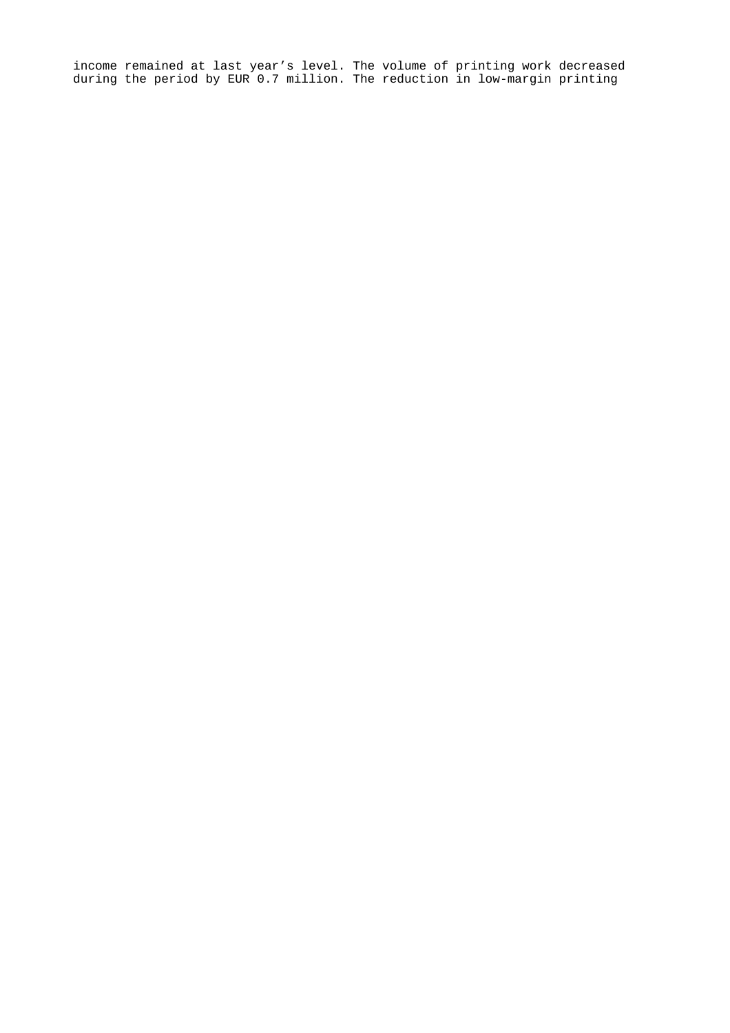income remained at last year's level. The volume of printing work decreased during the period by EUR 0.7 million. The reduction in low-margin printing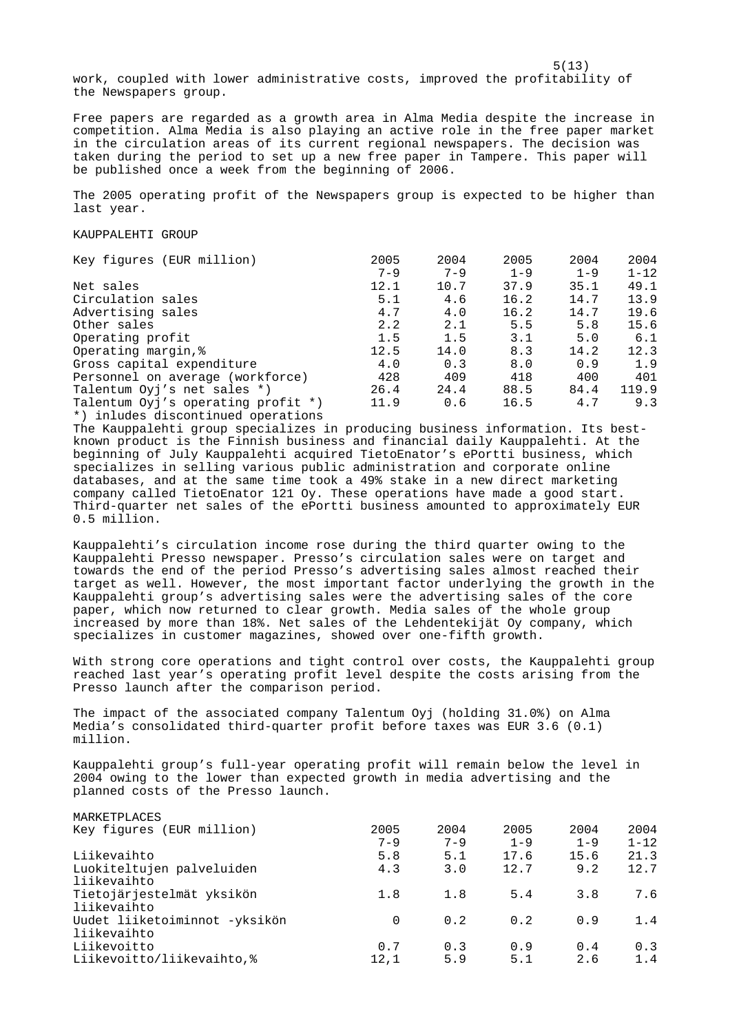$5(13)$ work, coupled with lower administrative costs, improved the profitability of the Newspapers group.

Free papers are regarded as a growth area in Alma Media despite the increase in competition. Alma Media is also playing an active role in the free paper market in the circulation areas of its current regional newspapers. The decision was taken during the period to set up a new free paper in Tampere. This paper will be published once a week from the beginning of 2006.

The 2005 operating profit of the Newspapers group is expected to be higher than last year.

KAUPPALEHTI GROUP

MARKETDI ACEC

| Key figures (EUR million)          | 2005    | 2004    | 2005    | 2004    | 2004     |
|------------------------------------|---------|---------|---------|---------|----------|
|                                    | $7 - 9$ | $7 - 9$ | $1 - 9$ | $1 - 9$ | $1 - 12$ |
| Net sales                          | 12.1    | 10.7    | 37.9    | 35.1    | 49.1     |
| Circulation sales                  | 5.1     | 4.6     | 16.2    | 14.7    | 13.9     |
| Advertising sales                  | 4.7     | 4.0     | 16.2    | 14.7    | 19.6     |
| Other sales                        | 2.2     | 2.1     | 5.5     | 5.8     | 15.6     |
| Operating profit                   | 1.5     | 1.5     | 3.1     | 5.0     | 6.1      |
| Operating margin, %                | 12.5    | 14.0    | 8.3     | 14.2    | 12.3     |
| Gross capital expenditure          | 4.0     | 0.3     | 8.0     | 0.9     | 1.9      |
| Personnel on average (workforce)   | 428     | 409     | 418     | 400     | 401      |
| Talentum Oyj's net sales *)        | 26.4    | 24.4    | 88.5    | 84.4    | 119.9    |
| Talentum Oyj's operating profit *) | 11.9    | 0.6     | 16.5    | 4.7     | 9.3      |
| *) inludes discontinued operations |         |         |         |         |          |

The Kauppalehti group specializes in producing business information. Its bestknown product is the Finnish business and financial daily Kauppalehti. At the beginning of July Kauppalehti acquired TietoEnator's ePortti business, which specializes in selling various public administration and corporate online databases, and at the same time took a 49% stake in a new direct marketing company called TietoEnator 121 Oy. These operations have made a good start. Third-quarter net sales of the ePortti business amounted to approximately EUR 0.5 million.

Kauppalehti's circulation income rose during the third quarter owing to the Kauppalehti Presso newspaper. Presso's circulation sales were on target and towards the end of the period Presso's advertising sales almost reached their target as well. However, the most important factor underlying the growth in the Kauppalehti group's advertising sales were the advertising sales of the core paper, which now returned to clear growth. Media sales of the whole group increased by more than 18%. Net sales of the Lehdentekijät Oy company, which specializes in customer magazines, showed over one-fifth growth.

With strong core operations and tight control over costs, the Kauppalehti group reached last year's operating profit level despite the costs arising from the Presso launch after the comparison period.

The impact of the associated company Talentum Oyj (holding 31.0%) on Alma Media's consolidated third-quarter profit before taxes was EUR 3.6 (0.1) million.

Kauppalehti group's full-year operating profit will remain below the level in 2004 owing to the lower than expected growth in media advertising and the planned costs of the Presso launch.

| Key figures (EUR million)     | 2005    | 2004    | 2005    | 2004    | 2004     |
|-------------------------------|---------|---------|---------|---------|----------|
|                               | $7 - 9$ | $7 - 9$ | $1 - 9$ | $1 - 9$ | $1 - 12$ |
| Liikevaihto                   | 5.8     | 5.1     | 17.6    | 15.6    | 21.3     |
| Luokiteltujen palveluiden     | 4.3     | 3.0     | 12.7    | 9.2     | 12.7     |
| liikevaihto                   |         |         |         |         |          |
| Tietojärjestelmät yksikön     | 1.8     | 1.8     | 5.4     | 3.8     | 7.6      |
| liikevaihto                   |         |         |         |         |          |
| Uudet liiketoiminnot -yksikön | 0       | 0.2     | 0.2     | 0.9     | 1.4      |
| liikevaihto                   |         |         |         |         |          |
| Liikevoitto                   | 0.7     | 0.3     | 0.9     | 0.4     | 0.3      |
| Liikevoitto/liikevaihto, %    | 12,1    | 5.9     | 5.1     | 2.6     | 1.4      |
|                               |         |         |         |         |          |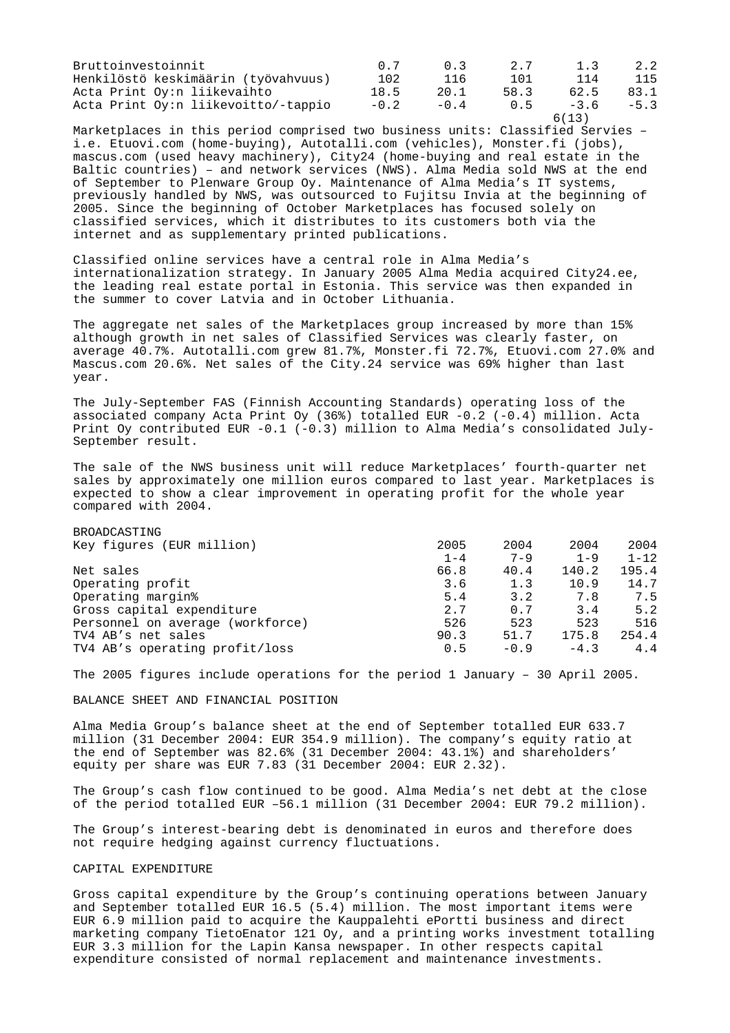| Bruttoinvestoinnit                  | 0 7    | 0 3          | 2.7  | 1.3    | 2.2    |
|-------------------------------------|--------|--------------|------|--------|--------|
| Henkilöstö keskimäärin (työvahvuus) | 102    | 116          | 101  | 114    | 115    |
| Acta Print Oy:n liikevaihto         | 18.5   | 20.1         | 58.3 | 62.5   | 83.1   |
| Acta Print Oy:n liikevoitto/-tappio | $-0.2$ | $-0 \quad 4$ | 0 5  | $-3.6$ | $-5.3$ |
|                                     |        |              |      | 6(13)  |        |

Marketplaces in this period comprised two business units: Classified Servies – i.e. Etuovi.com (home-buying), Autotalli.com (vehicles), Monster.fi (jobs), mascus.com (used heavy machinery), City24 (home-buying and real estate in the Baltic countries) – and network services (NWS). Alma Media sold NWS at the end of September to Plenware Group Oy. Maintenance of Alma Media's IT systems, previously handled by NWS, was outsourced to Fujitsu Invia at the beginning of 2005. Since the beginning of October Marketplaces has focused solely on classified services, which it distributes to its customers both via the internet and as supplementary printed publications.

Classified online services have a central role in Alma Media's internationalization strategy. In January 2005 Alma Media acquired City24.ee, the leading real estate portal in Estonia. This service was then expanded in the summer to cover Latvia and in October Lithuania.

The aggregate net sales of the Marketplaces group increased by more than 15% although growth in net sales of Classified Services was clearly faster, on average 40.7%. Autotalli.com grew 81.7%, Monster.fi 72.7%, Etuovi.com 27.0% and Mascus.com 20.6%. Net sales of the City.24 service was 69% higher than last year.

The July-September FAS (Finnish Accounting Standards) operating loss of the associated company Acta Print Oy (36%) totalled EUR -0.2 (-0.4) million. Acta Print Oy contributed EUR -0.1 (-0.3) million to Alma Media's consolidated July-September result.

The sale of the NWS business unit will reduce Marketplaces' fourth-quarter net sales by approximately one million euros compared to last year. Marketplaces is expected to show a clear improvement in operating profit for the whole year compared with 2004.

| <b>BROADCASTING</b>              |         |         |         |          |
|----------------------------------|---------|---------|---------|----------|
| Key figures (EUR million)        | 2005    | 2004    | 2004    | 2004     |
|                                  | $1 - 4$ | $7 - 9$ | $1 - 9$ | $1 - 12$ |
| Net sales                        | 66.8    | 40.4    | 140.2   | 195.4    |
| Operating profit                 | 3.6     | 1.3     | 10.9    | 14.7     |
| Operating margin%                | 5.4     | 3.2     | 7.8     | 7.5      |
| Gross capital expenditure        | 2.7     | 0.7     | 3.4     | 5.2      |
| Personnel on average (workforce) | 526     | 523     | 523     | 516      |
| TV4 AB's net sales               | 90.3    | 51.7    | 175.8   | 254.4    |
| TV4 AB's operating profit/loss   | 0.5     | $-0.9$  | $-4.3$  | 4.4      |

The 2005 figures include operations for the period 1 January – 30 April 2005.

BALANCE SHEET AND FINANCIAL POSITION

Alma Media Group's balance sheet at the end of September totalled EUR 633.7 million (31 December 2004: EUR 354.9 million). The company's equity ratio at the end of September was 82.6% (31 December 2004: 43.1%) and shareholders' equity per share was EUR 7.83 (31 December 2004: EUR 2.32).

The Group's cash flow continued to be good. Alma Media's net debt at the close of the period totalled EUR –56.1 million (31 December 2004: EUR 79.2 million).

The Group's interest-bearing debt is denominated in euros and therefore does not require hedging against currency fluctuations.

### CAPITAL EXPENDITURE

Gross capital expenditure by the Group's continuing operations between January and September totalled EUR 16.5 (5.4) million. The most important items were EUR 6.9 million paid to acquire the Kauppalehti ePortti business and direct marketing company TietoEnator 121 Oy, and a printing works investment totalling EUR 3.3 million for the Lapin Kansa newspaper. In other respects capital expenditure consisted of normal replacement and maintenance investments.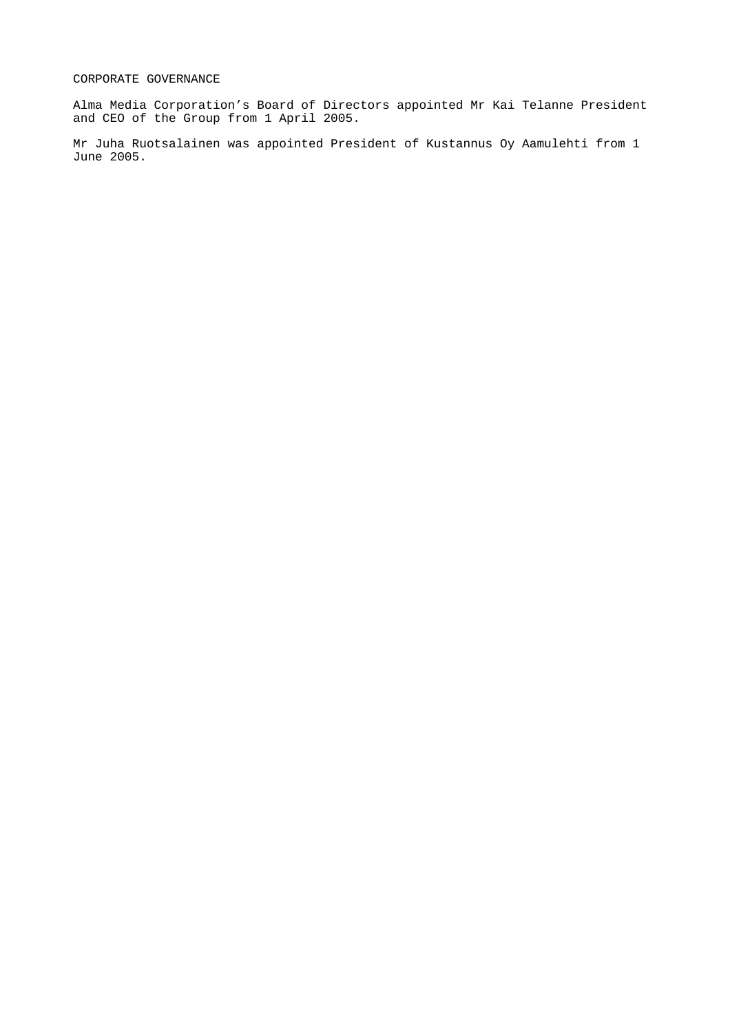# CORPORATE GOVERNANCE

Alma Media Corporation's Board of Directors appointed Mr Kai Telanne President and CEO of the Group from 1 April 2005.

Mr Juha Ruotsalainen was appointed President of Kustannus Oy Aamulehti from 1 June 2005.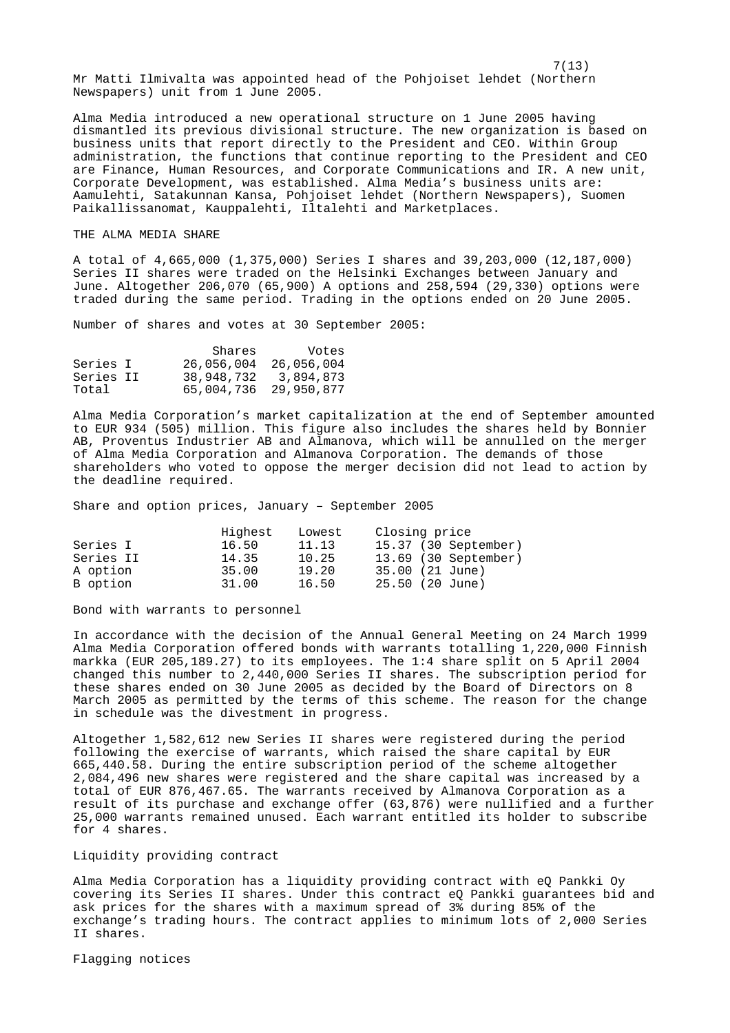7(13) Mr Matti Ilmivalta was appointed head of the Pohjoiset lehdet (Northern Newspapers) unit from 1 June 2005.

Alma Media introduced a new operational structure on 1 June 2005 having dismantled its previous divisional structure. The new organization is based on business units that report directly to the President and CEO. Within Group administration, the functions that continue reporting to the President and CEO are Finance, Human Resources, and Corporate Communications and IR. A new unit, Corporate Development, was established. Alma Media's business units are: Aamulehti, Satakunnan Kansa, Pohjoiset lehdet (Northern Newspapers), Suomen Paikallissanomat, Kauppalehti, Iltalehti and Marketplaces.

### THE ALMA MEDIA SHARE

A total of 4,665,000 (1,375,000) Series I shares and 39,203,000 (12,187,000) Series II shares were traded on the Helsinki Exchanges between January and June. Altogether 206,070 (65,900) A options and 258,594 (29,330) options were traded during the same period. Trading in the options ended on 20 June 2005.

Number of shares and votes at 30 September 2005:

|           | Shares     | Votes                 |
|-----------|------------|-----------------------|
| Series I  | 26,056,004 | 26,056,004            |
| Series II | 38,948,732 | 3,894,873             |
| Total     |            | 65,004,736 29,950,877 |

Alma Media Corporation's market capitalization at the end of September amounted to EUR 934 (505) million. This figure also includes the shares held by Bonnier AB, Proventus Industrier AB and Almanova, which will be annulled on the merger of Alma Media Corporation and Almanova Corporation. The demands of those shareholders who voted to oppose the merger decision did not lead to action by the deadline required.

Share and option prices, January – September 2005

|           | Highest | Lowest | Closing price        |
|-----------|---------|--------|----------------------|
| Series I  | 16.50   | 11.13  | 15.37 (30 September) |
| Series II | 14.35   | 10.25  | 13.69 (30 September) |
| A option  | 35.00   | 19.20  | 35.00 (21 June)      |
| B option  | 31.00   | 16.50  | 25.50 (20 June)      |

Bond with warrants to personnel

In accordance with the decision of the Annual General Meeting on 24 March 1999 Alma Media Corporation offered bonds with warrants totalling 1,220,000 Finnish markka (EUR 205,189.27) to its employees. The 1:4 share split on 5 April 2004 changed this number to 2,440,000 Series II shares. The subscription period for these shares ended on 30 June 2005 as decided by the Board of Directors on 8 March 2005 as permitted by the terms of this scheme. The reason for the change in schedule was the divestment in progress.

Altogether 1,582,612 new Series II shares were registered during the period following the exercise of warrants, which raised the share capital by EUR 665,440.58. During the entire subscription period of the scheme altogether 2,084,496 new shares were registered and the share capital was increased by a total of EUR 876,467.65. The warrants received by Almanova Corporation as a result of its purchase and exchange offer (63,876) were nullified and a further 25,000 warrants remained unused. Each warrant entitled its holder to subscribe for 4 shares.

Liquidity providing contract

Alma Media Corporation has a liquidity providing contract with eQ Pankki Oy covering its Series II shares. Under this contract eQ Pankki guarantees bid and ask prices for the shares with a maximum spread of 3% during 85% of the exchange's trading hours. The contract applies to minimum lots of 2,000 Series II shares.

Flagging notices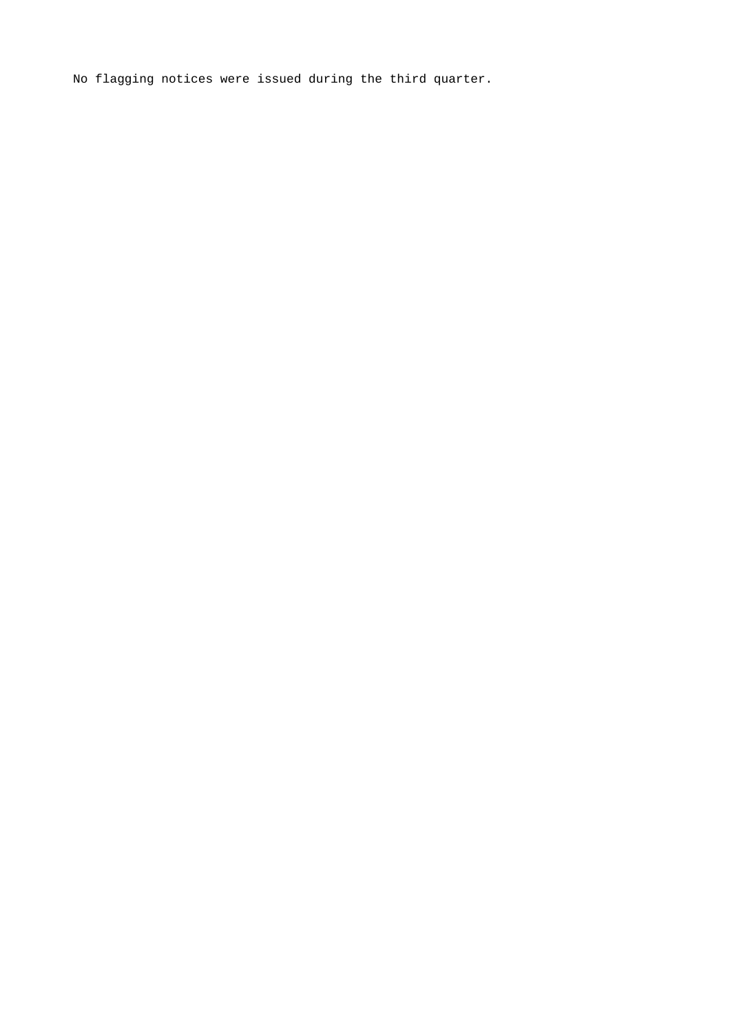No flagging notices were issued during the third quarter.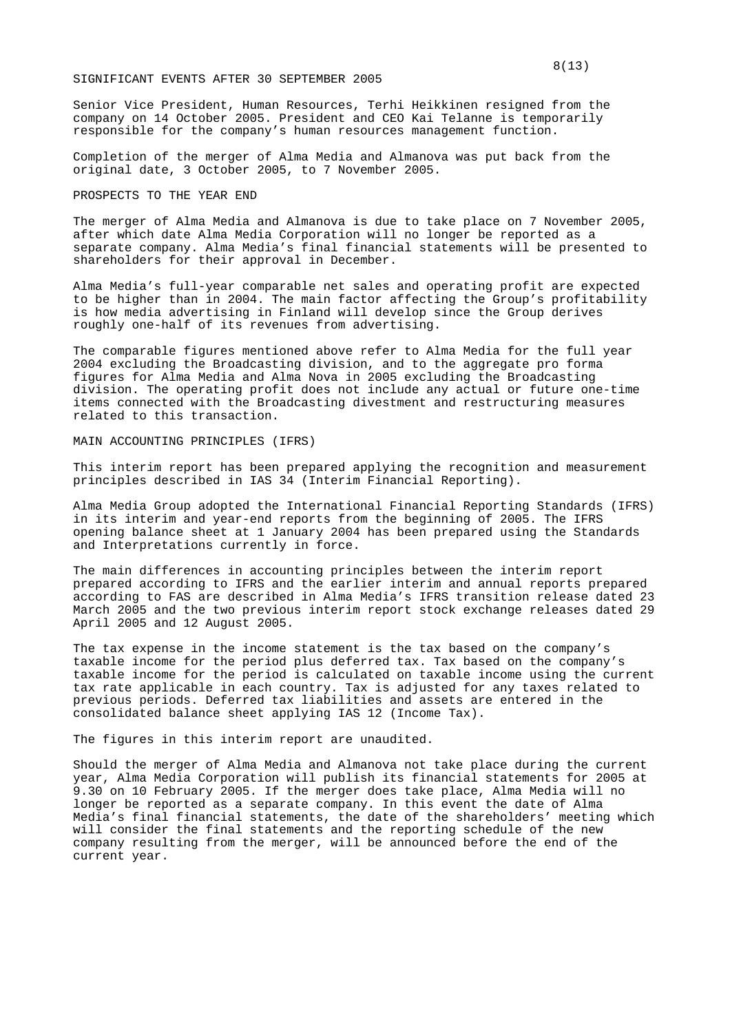#### SIGNIFICANT EVENTS AFTER 30 SEPTEMBER 2005

Senior Vice President, Human Resources, Terhi Heikkinen resigned from the company on 14 October 2005. President and CEO Kai Telanne is temporarily responsible for the company's human resources management function.

Completion of the merger of Alma Media and Almanova was put back from the original date, 3 October 2005, to 7 November 2005.

## PROSPECTS TO THE YEAR END

The merger of Alma Media and Almanova is due to take place on 7 November 2005, after which date Alma Media Corporation will no longer be reported as a separate company. Alma Media's final financial statements will be presented to shareholders for their approval in December.

Alma Media's full-year comparable net sales and operating profit are expected to be higher than in 2004. The main factor affecting the Group's profitability is how media advertising in Finland will develop since the Group derives roughly one-half of its revenues from advertising.

The comparable figures mentioned above refer to Alma Media for the full year 2004 excluding the Broadcasting division, and to the aggregate pro forma figures for Alma Media and Alma Nova in 2005 excluding the Broadcasting division. The operating profit does not include any actual or future one-time items connected with the Broadcasting divestment and restructuring measures related to this transaction.

MAIN ACCOUNTING PRINCIPLES (IFRS)

This interim report has been prepared applying the recognition and measurement principles described in IAS 34 (Interim Financial Reporting).

Alma Media Group adopted the International Financial Reporting Standards (IFRS) in its interim and year-end reports from the beginning of 2005. The IFRS opening balance sheet at 1 January 2004 has been prepared using the Standards and Interpretations currently in force.

The main differences in accounting principles between the interim report prepared according to IFRS and the earlier interim and annual reports prepared according to FAS are described in Alma Media's IFRS transition release dated 23 March 2005 and the two previous interim report stock exchange releases dated 29 April 2005 and 12 August 2005.

The tax expense in the income statement is the tax based on the company's taxable income for the period plus deferred tax. Tax based on the company's taxable income for the period is calculated on taxable income using the current tax rate applicable in each country. Tax is adjusted for any taxes related to previous periods. Deferred tax liabilities and assets are entered in the consolidated balance sheet applying IAS 12 (Income Tax).

The figures in this interim report are unaudited.

Should the merger of Alma Media and Almanova not take place during the current year, Alma Media Corporation will publish its financial statements for 2005 at 9.30 on 10 February 2005. If the merger does take place, Alma Media will no longer be reported as a separate company. In this event the date of Alma Media's final financial statements, the date of the shareholders' meeting which will consider the final statements and the reporting schedule of the new company resulting from the merger, will be announced before the end of the current year.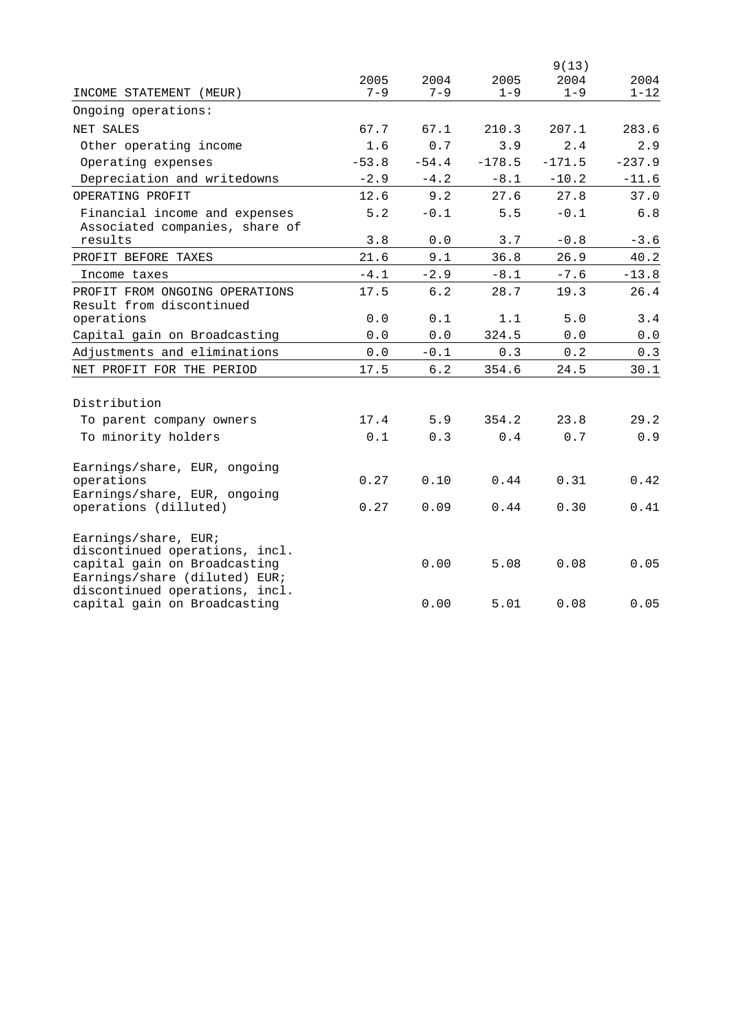|                                                                                                 |                 |                 |                 | 9(13)           |                  |
|-------------------------------------------------------------------------------------------------|-----------------|-----------------|-----------------|-----------------|------------------|
| INCOME STATEMENT (MEUR)                                                                         | 2005<br>$7 - 9$ | 2004<br>$7 - 9$ | 2005<br>$1 - 9$ | 2004<br>$1 - 9$ | 2004<br>$1 - 12$ |
| Ongoing operations:                                                                             |                 |                 |                 |                 |                  |
| NET SALES                                                                                       | 67.7            | 67.1            | 210.3           | 207.1           | 283.6            |
| Other operating income                                                                          | 1.6             | 0.7             | 3.9             | 2.4             | 2.9              |
| Operating expenses                                                                              | $-53.8$         | $-54.4$         | $-178.5$        | $-171.5$        | $-237.9$         |
| Depreciation and writedowns                                                                     | $-2.9$          | $-4.2$          | $-8.1$          | $-10.2$         | $-11.6$          |
| OPERATING PROFIT                                                                                | 12.6            | 9.2             | 27.6            | 27.8            | 37.0             |
| Financial income and expenses<br>Associated companies, share of                                 | 5.2             | $-0.1$          | 5.5             | $-0.1$          | 6.8              |
| results                                                                                         | 3.8             | 0.0             | 3.7             | $-0.8$          | $-3.6$           |
| PROFIT BEFORE TAXES                                                                             | 21.6            | 9.1             | 36.8            | 26.9            | 40.2             |
| Income taxes                                                                                    | $-4.1$          | $-2.9$          | $-8.1$          | $-7.6$          | $-13.8$          |
| PROFIT FROM ONGOING OPERATIONS<br>Result from discontinued                                      | 17.5            | 6.2             | 28.7            | 19.3            | 26.4             |
| operations                                                                                      | 0.0             | 0.1             | 1.1             | 5.0             | 3.4              |
| Capital gain on Broadcasting                                                                    | 0.0             | 0.0             | 324.5           | 0.0             | $0.0$            |
| Adjustments and eliminations                                                                    | 0.0             | $-0.1$          | 0.3             | 0.2             | 0.3              |
| NET PROFIT FOR THE PERIOD                                                                       | 17.5            | 6.2             | 354.6           | 24.5            | 30.1             |
| Distribution                                                                                    |                 |                 |                 |                 |                  |
| To parent company owners                                                                        | 17.4            | 5.9             | 354.2           | 23.8            | 29.2             |
| To minority holders                                                                             | 0.1             | 0.3             | 0.4             | 0.7             | 0.9              |
| Earnings/share, EUR, ongoing<br>operations<br>Earnings/share, EUR, ongoing                      | 0.27            | 0.10            | 0.44            | 0.31            | 0.42             |
| operations (dilluted)                                                                           | 0.27            | 0.09            | 0.44            | 0.30            | 0.41             |
| Earnings/share, EUR;<br>discontinued operations, incl.                                          |                 |                 |                 |                 |                  |
| capital gain on Broadcasting<br>Earnings/share (diluted) EUR;<br>discontinued operations, incl. |                 | 0.00            | 5.08            | 0.08            | 0.05             |
| capital gain on Broadcasting                                                                    |                 | 0.00            | 5.01            | 0.08            | 0.05             |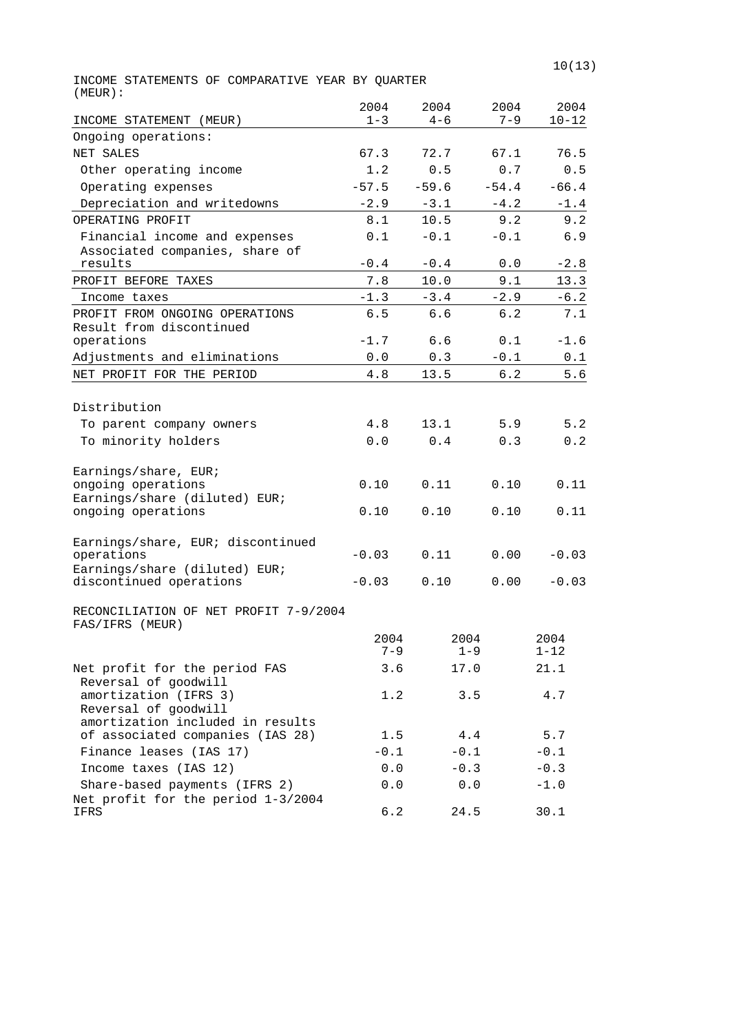$10(13)$ 

INCOME STATEMENTS OF COMPARATIVE YEAR BY QUARTER (MEUR):

|                                                            | 2004    | 2004    | 2004    | 2004      |
|------------------------------------------------------------|---------|---------|---------|-----------|
| INCOME STATEMENT (MEUR)                                    | $1 - 3$ | $4 - 6$ | 7–9     | $10 - 12$ |
| Ongoing operations:                                        |         |         |         |           |
| NET SALES                                                  | 67.3    | 72.7    | 67.1    | 76.5      |
| Other operating income                                     | 1.2     | 0.5     | 0.7     | 0.5       |
| Operating expenses                                         | $-57.5$ | $-59.6$ | $-54.4$ | $-66.4$   |
| Depreciation and writedowns                                | $-2.9$  | $-3.1$  | $-4.2$  | $-1.4$    |
| OPERATING PROFIT                                           | 8.1     | 10.5    | 9.2     | 9.2       |
| Financial income and expenses                              | 0.1     | $-0.1$  | $-0.1$  | 6.9       |
| Associated companies, share of                             |         |         |         |           |
| results                                                    | $-0.4$  | $-0.4$  | 0.0     | $-2.8$    |
| PROFIT BEFORE TAXES                                        | 7.8     | 10.0    | 9.1     | 13.3      |
| Income taxes                                               | $-1.3$  | $-3.4$  | $-2.9$  | $-6.2$    |
| PROFIT FROM ONGOING OPERATIONS<br>Result from discontinued | 6.5     | 6.6     | 6.2     | 7.1       |
| operations                                                 | $-1.7$  | 6.6     | 0.1     | $-1.6$    |
| Adjustments and eliminations                               | 0.0     | 0.3     | $-0.1$  | 0.1       |
| NET PROFIT FOR THE PERIOD                                  | 4.8     | 13.5    | 6.2     | 5.6       |
|                                                            |         |         |         |           |
| Distribution                                               |         |         |         |           |
| To parent company owners                                   | 4.8     | 13.1    | 5.9     | 5.2       |
| To minority holders                                        | 0.0     | 0.4     | 0.3     | 0.2       |
|                                                            |         |         |         |           |
| Earnings/share, EUR;                                       |         |         |         |           |
| ongoing operations                                         | 0.10    | 0.11    | 0.10    | 0.11      |
| Earnings/share (diluted) EUR;                              |         |         |         |           |
| ongoing operations                                         | 0.10    | 0.10    | 0.10    | 0.11      |
| Earnings/share, EUR; discontinued                          |         |         |         |           |
| operations                                                 | $-0.03$ | 0.11    | 0.00    | $-0.03$   |
| Earnings/share (diluted) EUR;                              |         |         |         |           |
| discontinued operations                                    | $-0.03$ | 0.10    | 0.00    | $-0.03$   |
|                                                            |         |         |         |           |
| RECONCILIATION OF NET PROFIT 7-9/2004<br>FAS/IFRS (MEUR)   |         |         |         |           |
|                                                            | 2004    | 2004    |         | 2004      |
|                                                            | $7 - 9$ | $1 - 9$ |         | $1 - 12$  |
| Net profit for the period FAS                              | 3.6     | 17.0    |         | 21.1      |
| Reversal of goodwill                                       |         |         |         |           |
| amortization (IFRS 3)                                      | 1.2     | 3.5     |         | 4.7       |
| Reversal of goodwill<br>amortization included in results   |         |         |         |           |
| of associated companies (IAS 28)                           | 1.5     | 4.4     |         | 5.7       |
| Finance leases (IAS 17)                                    | $-0.1$  | $-0.1$  |         | $-0.1$    |
| Income taxes (IAS 12)                                      | 0.0     | $-0.3$  |         | $-0.3$    |
| Share-based payments (IFRS 2)                              | 0.0     | 0.0     |         | $-1.0$    |
| Net profit for the period 1-3/2004                         |         |         |         |           |
| IFRS                                                       | 6.2     | 24.5    |         | 30.1      |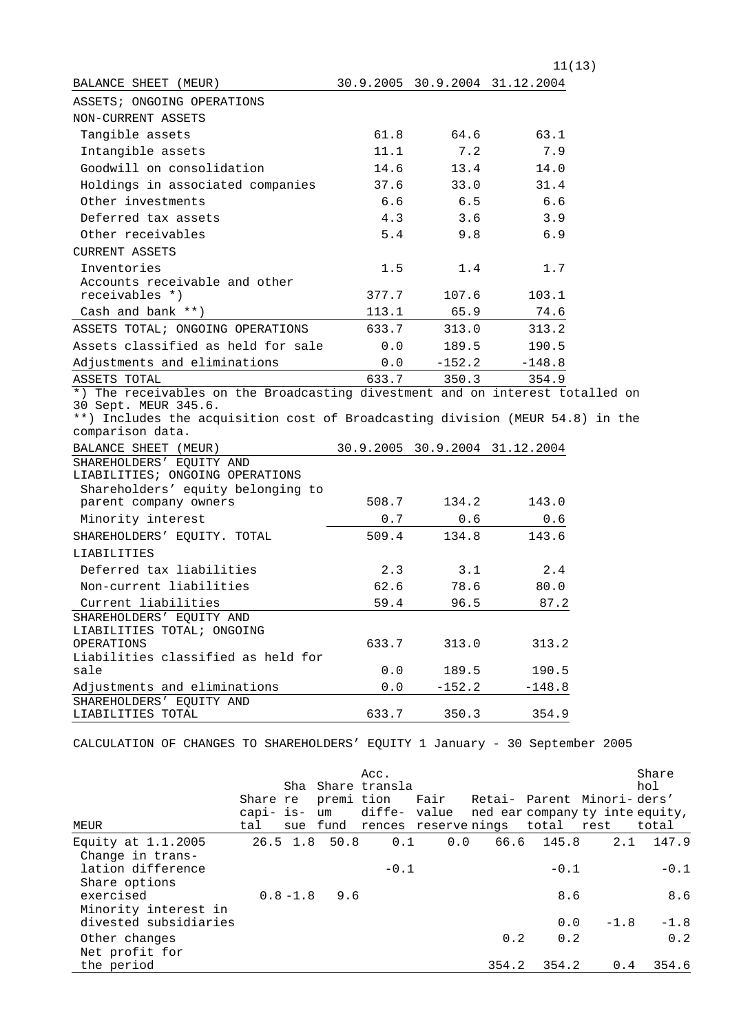|                                                                                                                                                                                                            |                       |          | 11(13)                         |  |
|------------------------------------------------------------------------------------------------------------------------------------------------------------------------------------------------------------|-----------------------|----------|--------------------------------|--|
| BALANCE SHEET (MEUR)                                                                                                                                                                                       |                       |          | 30.9.2005 30.9.2004 31.12.2004 |  |
| ASSETS; ONGOING OPERATIONS                                                                                                                                                                                 |                       |          |                                |  |
| NON-CURRENT ASSETS                                                                                                                                                                                         |                       |          |                                |  |
| Tangible assets                                                                                                                                                                                            | 61.8                  | 64.6     | 63.1                           |  |
| Intangible assets                                                                                                                                                                                          | 11.1                  | 7.2      | 7.9                            |  |
| Goodwill on consolidation                                                                                                                                                                                  | 14.6                  | 13.4     | 14.0                           |  |
| Holdings in associated companies                                                                                                                                                                           | 37.6                  | 33.0     | 31.4                           |  |
| Other investments                                                                                                                                                                                          | 6.6                   | 6.5      | 6.6                            |  |
| Deferred tax assets                                                                                                                                                                                        | 4.3                   | 3.6      | 3.9                            |  |
| Other receivables                                                                                                                                                                                          | 5.4                   | 9.8      | 6.9                            |  |
| <b>CURRENT ASSETS</b>                                                                                                                                                                                      |                       |          |                                |  |
| Inventories                                                                                                                                                                                                | 1.5                   | 1.4      | 1.7                            |  |
| Accounts receivable and other                                                                                                                                                                              |                       |          |                                |  |
| receivables *)                                                                                                                                                                                             | 377.7                 | 107.6    | 103.1                          |  |
| Cash and bank $**$ )                                                                                                                                                                                       | 113.1                 | 65.9     | 74.6                           |  |
| ASSETS TOTAL; ONGOING OPERATIONS                                                                                                                                                                           | 633.7                 | 313.0    | 313.2                          |  |
| Assets classified as held for sale                                                                                                                                                                         | ${\bf 0}$ . ${\bf 0}$ | 189.5    | 190.5                          |  |
| Adjustments and eliminations                                                                                                                                                                               | 0.0                   | $-152.2$ | $-148.8$                       |  |
| ASSETS TOTAL                                                                                                                                                                                               | 633.7                 | 350.3    | 354.9                          |  |
| *) The receivables on the Broadcasting divestment and on interest totalled on<br>30 Sept. MEUR 345.6.<br>**) Includes the acquisition cost of Broadcasting division (MEUR 54.8) in the<br>comparison data. |                       |          |                                |  |
| BALANCE SHEET (MEUR)                                                                                                                                                                                       |                       |          | 30.9.2005 30.9.2004 31.12.2004 |  |
| SHAREHOLDERS' EQUITY AND<br>LIABILITIES; ONGOING OPERATIONS<br>Shareholders' equity belonging to                                                                                                           |                       |          |                                |  |
| parent company owners                                                                                                                                                                                      | 508.7                 | 134.2    | 143.0                          |  |
| Minority interest                                                                                                                                                                                          | 0.7                   | 0.6      | 0.6                            |  |
| SHAREHOLDERS' EQUITY. TOTAL                                                                                                                                                                                | 509.4                 | 134.8    | 143.6                          |  |
| LIABILITIES                                                                                                                                                                                                |                       |          |                                |  |
| Deferred tax liabilities                                                                                                                                                                                   | 2.3                   | 3.1      | 2.4                            |  |
| Non-current liabilities                                                                                                                                                                                    | 62.6                  | 78.6     | 80.0                           |  |
| Current liabilities                                                                                                                                                                                        | 59.4                  | 96.5     | 87.2                           |  |
| SHAREHOLDERS' EQUITY AND<br>LIABILITIES TOTAL; ONGOING<br>OPERATIONS                                                                                                                                       | 633.7                 | 313.0    | 313.2                          |  |
| Liabilities classified as held for<br>sale                                                                                                                                                                 | $0.0$                 | 189.5    | 190.5                          |  |
| Adjustments and eliminations                                                                                                                                                                               | 0.0                   | $-152.2$ | $-148.8$                       |  |
| SHAREHOLDERS' EQUITY AND<br>LIABILITIES TOTAL                                                                                                                                                              | 633.7                 | 350.3    | 354.9                          |  |

CALCULATION OF CHANGES TO SHAREHOLDERS' EQUITY 1 January - 30 September 2005

| MEUR                                               | Share re<br>capi- is- um<br>tal |             | premi tion<br>sue fund | Acc.<br>Sha Share transla<br>rences reserve nings | Fair<br>diffe- value |       | Retai- Parent Minori-ders'<br>ned ear company ty inte equity,<br>total rest |        | Share<br>hol<br>total |
|----------------------------------------------------|---------------------------------|-------------|------------------------|---------------------------------------------------|----------------------|-------|-----------------------------------------------------------------------------|--------|-----------------------|
| Equity at 1.1.2005<br>Change in trans-             |                                 |             | 26.5 1.8 50.8          | 0.1                                               |                      | 0.0   | 66.6 145.8                                                                  | 2.1    | 147.9                 |
| lation difference                                  |                                 |             |                        | $-0.1$                                            |                      |       | $-0.1$                                                                      |        | $-0.1$                |
| Share options<br>exercised<br>Minority interest in |                                 | $0.8 - 1.8$ | 9.6                    |                                                   |                      |       | 8.6                                                                         |        | 8.6                   |
| divested subsidiaries                              |                                 |             |                        |                                                   |                      |       | 0.0                                                                         | $-1.8$ | $-1.8$                |
| Other changes                                      |                                 |             |                        |                                                   |                      | 0.2   | 0.2                                                                         |        | 0.2                   |
| Net profit for<br>the period                       |                                 |             |                        |                                                   |                      | 354.2 | 354.2                                                                       | 0.4    | 354.6                 |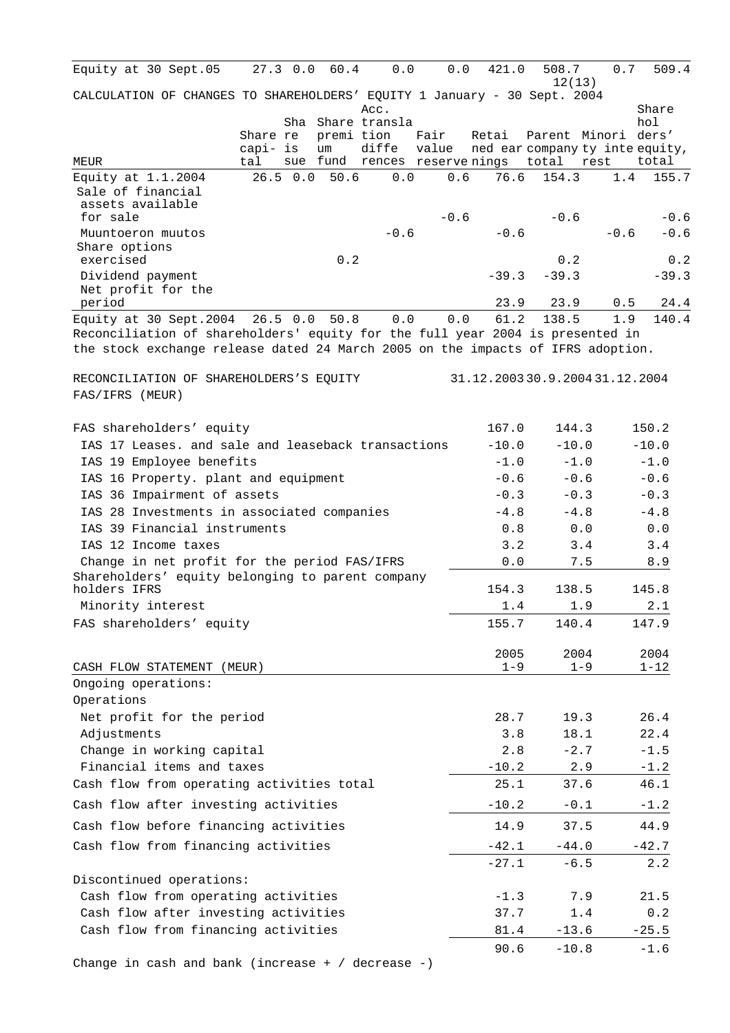| Equity at 30 Sept.05                                                                                                                                             |                      | $27.3$ 0.0 60.4 | 0.0                  | 0.0           | 421.0                         | 508.7<br>12(13)                                        | 0.7    | 509.4    |
|------------------------------------------------------------------------------------------------------------------------------------------------------------------|----------------------|-----------------|----------------------|---------------|-------------------------------|--------------------------------------------------------|--------|----------|
| CALCULATION OF CHANGES TO SHAREHOLDERS' EQUITY 1 January - 30 Sept. 2004                                                                                         |                      |                 |                      |               |                               |                                                        |        |          |
|                                                                                                                                                                  |                      |                 | Acc.                 |               |                               |                                                        |        | Share    |
|                                                                                                                                                                  |                      | Sha             | Share transla        |               |                               |                                                        |        | hol      |
|                                                                                                                                                                  | Share re<br>capi- is | um              | premi tion<br>diffe  | Fair<br>value | Retai                         | Parent Minori ders'<br>ned ear company ty inte equity, |        |          |
| MEUR                                                                                                                                                             | tal                  | sue fund        | rences reserve nings |               |                               | total                                                  | rest   | total    |
| Equity at $1.1.2004$                                                                                                                                             | $26.5 \t 0.0$        | 50.6            | $0.0$                | 0.6           | 76.6                          | 154.3                                                  | 1.4    | 155.7    |
| Sale of financial                                                                                                                                                |                      |                 |                      |               |                               |                                                        |        |          |
| assets available<br>for sale                                                                                                                                     |                      |                 |                      | $-0.6$        |                               | $-0.6$                                                 |        | $-0.6$   |
| Muuntoeron muutos                                                                                                                                                |                      |                 | $-0.6$               |               | $-0.6$                        |                                                        | $-0.6$ | $-0.6$   |
| Share options                                                                                                                                                    |                      |                 |                      |               |                               |                                                        |        |          |
| exercised                                                                                                                                                        |                      | 0.2             |                      |               |                               | 0.2                                                    |        | 0.2      |
| Dividend payment                                                                                                                                                 |                      |                 |                      |               | $-39.3$                       | $-39.3$                                                |        | $-39.3$  |
| Net profit for the                                                                                                                                               |                      |                 |                      |               |                               |                                                        |        |          |
| period                                                                                                                                                           |                      |                 |                      |               | 23.9                          | 23.9                                                   | 0.5    | 24.4     |
| Equity at 30 Sept.2004 26.5 0.0 50.8                                                                                                                             |                      |                 | 0.0                  | 0.0           | 61.2                          | 138.5                                                  | 1.9    | 140.4    |
| Reconciliation of shareholders' equity for the full year 2004 is presented in<br>the stock exchange release dated 24 March 2005 on the impacts of IFRS adoption. |                      |                 |                      |               |                               |                                                        |        |          |
|                                                                                                                                                                  |                      |                 |                      |               |                               |                                                        |        |          |
| RECONCILIATION OF SHAREHOLDERS'S EOUITY                                                                                                                          |                      |                 |                      |               | 31.12.200330.9.200431.12.2004 |                                                        |        |          |
| FAS/IFRS (MEUR)                                                                                                                                                  |                      |                 |                      |               |                               |                                                        |        |          |
|                                                                                                                                                                  |                      |                 |                      |               |                               |                                                        |        |          |
| FAS shareholders' equity                                                                                                                                         |                      |                 |                      |               | 167.0                         | 144.3                                                  |        | 150.2    |
| IAS 17 Leases. and sale and leaseback transactions                                                                                                               |                      |                 |                      |               | $-10.0$                       | $-10.0$                                                |        | $-10.0$  |
| IAS 19 Employee benefits                                                                                                                                         |                      |                 |                      |               | $-1.0$                        | $-1.0$                                                 |        | $-1.0$   |
|                                                                                                                                                                  |                      |                 |                      |               | $-0.6$                        | $-0.6$                                                 |        | $-0.6$   |
| IAS 16 Property. plant and equipment                                                                                                                             |                      |                 |                      |               |                               |                                                        |        |          |
| IAS 36 Impairment of assets                                                                                                                                      |                      |                 |                      |               | $-0.3$                        | $-0.3$                                                 |        | $-0.3$   |
| IAS 28 Investments in associated companies                                                                                                                       |                      |                 |                      |               | $-4.8$                        | $-4.8$                                                 |        | $-4.8$   |
| IAS 39 Financial instruments                                                                                                                                     |                      |                 |                      |               | 0.8                           | 0.0                                                    |        | 0.0      |
| IAS 12 Income taxes                                                                                                                                              |                      |                 |                      |               | 3.2                           | 3.4                                                    |        | 3.4      |
| Change in net profit for the period FAS/IFRS                                                                                                                     |                      |                 |                      |               | 0.0                           | 7.5                                                    |        | 8.9      |
| Shareholders' equity belonging to parent company<br>holders IFRS                                                                                                 |                      |                 |                      |               | 154.3                         | 138.5                                                  |        | 145.8    |
| Minority interest                                                                                                                                                |                      |                 |                      |               | 1.4                           | 1.9                                                    |        | 2.1      |
| FAS shareholders' equity                                                                                                                                         |                      |                 |                      |               | 155.7                         | 140.4                                                  |        | 147.9    |
|                                                                                                                                                                  |                      |                 |                      |               |                               |                                                        |        |          |
|                                                                                                                                                                  |                      |                 |                      |               | 2005                          | 2004                                                   |        | 2004     |
| CASH FLOW STATEMENT                                                                                                                                              | (MEUR)               |                 |                      |               | $1 - 9$                       | $1 - 9$                                                |        | $1 - 12$ |
| Ongoing operations:                                                                                                                                              |                      |                 |                      |               |                               |                                                        |        |          |
| Operations                                                                                                                                                       |                      |                 |                      |               |                               |                                                        |        |          |
| Net profit for the period                                                                                                                                        |                      |                 |                      |               | 28.7                          | 19.3                                                   |        | 26.4     |
| Adjustments                                                                                                                                                      |                      |                 |                      |               | 3.8                           | 18.1                                                   |        | 22.4     |
| Change in working capital                                                                                                                                        |                      |                 |                      |               | 2.8                           | $-2.7$                                                 |        | $-1.5$   |
| Financial items and taxes                                                                                                                                        |                      |                 |                      |               | $-10.2$                       | 2.9                                                    |        | $-1.2$   |
| Cash flow from operating activities total                                                                                                                        |                      |                 |                      |               | 25.1                          | 37.6                                                   |        | 46.1     |
|                                                                                                                                                                  |                      |                 |                      |               | $-10.2$                       | $-0.1$                                                 |        |          |
| Cash flow after investing activities                                                                                                                             |                      |                 |                      |               |                               |                                                        |        | $-1.2$   |
| Cash flow before financing activities                                                                                                                            |                      |                 |                      |               | 14.9                          | 37.5                                                   |        | 44.9     |
| Cash flow from financing activities                                                                                                                              |                      |                 |                      |               | $-42.1$                       | $-44.0$                                                |        | $-42.7$  |
|                                                                                                                                                                  |                      |                 |                      |               | $-27.1$                       | $-6.5$                                                 |        | 2.2      |
| Discontinued operations:                                                                                                                                         |                      |                 |                      |               |                               |                                                        |        |          |
| Cash flow from operating activities                                                                                                                              |                      |                 |                      |               | $-1.3$                        | 7.9                                                    |        | 21.5     |
| Cash flow after investing activities                                                                                                                             |                      |                 |                      |               | 37.7                          | 1.4                                                    |        | 0.2      |
| Cash flow from financing activities                                                                                                                              |                      |                 |                      |               | 81.4                          | $-13.6$                                                |        | $-25.5$  |
|                                                                                                                                                                  |                      |                 |                      |               | 90.6                          | $-10.8$                                                |        | $-1.6$   |
| Change in cash and bank (increase $+$ / decrease -)                                                                                                              |                      |                 |                      |               |                               |                                                        |        |          |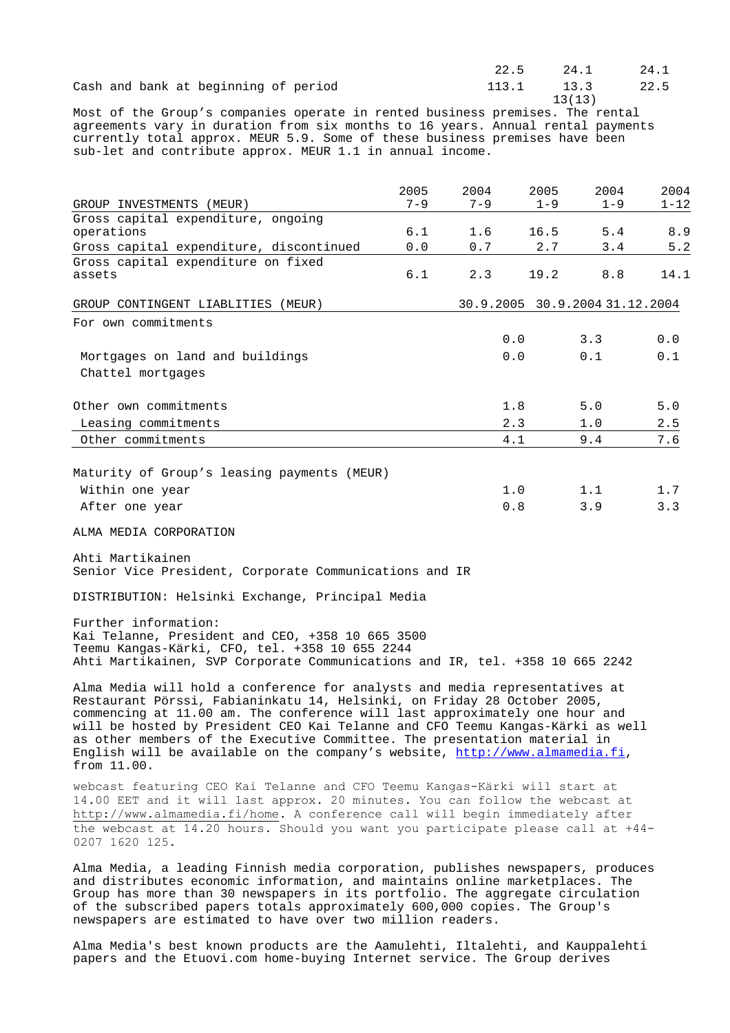|                                      | $22.5$ $24.1$ $24.1$      |  |
|--------------------------------------|---------------------------|--|
| Cash and bank at beginning of period | 113.1 13.3 22.5<br>13(13) |  |

22.5 24.1 24.1

Most of the Group's companies operate in rented business premises. The rental agreements vary in duration from six months to 16 years. Annual rental payments currently total approx. MEUR 5.9. Some of these business premises have been sub-let and contribute approx. MEUR 1.1 in annual income.

|                                             | 2005    | 2004    | 2005    | 2004                           | 2004     |
|---------------------------------------------|---------|---------|---------|--------------------------------|----------|
| GROUP INVESTMENTS (MEUR)                    | $7 - 9$ | $7 - 9$ | $1 - 9$ | $1 - 9$                        | $1 - 12$ |
| Gross capital expenditure, ongoing          |         |         |         |                                |          |
| operations                                  | 6.1     | 1.6     | 16.5    | 5.4                            | 8.9      |
| Gross capital expenditure, discontinued     | 0.0     | 0.7     | 2.7     | 3.4                            | 5.2      |
| Gross capital expenditure on fixed          |         |         |         |                                |          |
| assets                                      | 6.1     | 2.3     | 19.2    | 8.8                            | 14.1     |
| GROUP CONTINGENT LIABLITIES<br>(MEUR)       |         |         |         | 30.9.2005 30.9.2004 31.12.2004 |          |
| For own commitments                         |         |         |         |                                |          |
|                                             |         |         | 0.0     | 3.3                            | 0.0      |
| Mortgages on land and buildings             |         |         | 0.0     | 0.1                            | 0.1      |
| Chattel mortgages                           |         |         |         |                                |          |
| Other own commitments                       |         |         | 1.8     | 5.0                            | 5.0      |
| Leasing commitments                         |         |         | 2.3     | 1.0                            | 2.5      |
| Other commitments                           |         |         | 4.1     | 9.4                            | 7.6      |
| Maturity of Group's leasing payments (MEUR) |         |         |         |                                |          |
| Within one year                             |         |         | 1.0     | 1.1                            | 1.7      |
| After one year                              |         |         | 0.8     | 3.9                            | 3.3      |

ALMA MEDIA CORPORATION

Ahti Martikainen Senior Vice President, Corporate Communications and IR

DISTRIBUTION: Helsinki Exchange, Principal Media

Further information: Kai Telanne, President and CEO, +358 10 665 3500 Teemu Kangas-Kärki, CFO, tel. +358 10 655 2244 Ahti Martikainen, SVP Corporate Communications and IR, tel. +358 10 665 2242

Alma Media will hold a conference for analysts and media representatives at Restaurant Pörssi, Fabianinkatu 14, Helsinki, on Friday 28 October 2005, commencing at 11.00 am. The conference will last approximately one hour and will be hosted by President CEO Kai Telanne and CFO Teemu Kangas-Kärki as well as other members of the Executive Committee. The presentation material in English will be available on the company's website, http://www.almamedia.fi, from 11.00.

webcast featuring CEO Kai Telanne and CFO Teemu Kangas-Kärki will start at 14.00 EET and it will last approx. 20 minutes. You can follow the webcast at http://www.almamedia.fi/home. A conference call will begin immediately after the webcast at 14.20 hours. Should you want you participate please call at +44- 0207 1620 125.

Alma Media, a leading Finnish media corporation, publishes newspapers, produces and distributes economic information, and maintains online marketplaces. The Group has more than 30 newspapers in its portfolio. The aggregate circulation of the subscribed papers totals approximately 600,000 copies. The Group's newspapers are estimated to have over two million readers.

Alma Media's best known products are the Aamulehti, Iltalehti, and Kauppalehti papers and the Etuovi.com home-buying Internet service. The Group derives